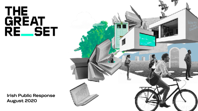## THE<br>GREAT **REESET**

**Irish Public Response August 2020**

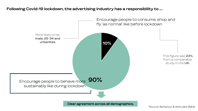### **Following Covid-19 lockdown, the advertising industry has a responsibility to ....**

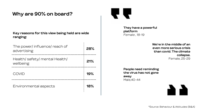### **Why are 90% on board?**

#### **Key reasons for this view being held are wide ranging:**

 $\mathbf{r}$ 

| The power/influence/reach of<br>advertising | 28% |
|---------------------------------------------|-----|
| Health/safety/mental Health/<br>wellbeing   | 21% |
| COVID                                       | 19% |
| Environmental aspects                       | 18% |



**They have a powerful platform**  *Female , 18-19* 

> **We're in the middle of an even more serious crisis than covid. The climate collapse.**  Female, 25-29

**People need reminding the virus has not gone away**  Male,40-44

\*Source: Behaviour & Atitudes (B&A)

n N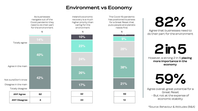### **Environment vs Economy**

As businesses navigate out of the Covid pandemic they need to do their part for the environment



Ireland's economic recovery is a much higher priority than caring for the environment

**10%**

**23%**

**24%**

**26%**

**42**

**33**



The Covid-19 pandemic has positioned business for a Great Reset that puts people and planets **82%**

Agree that businesses need to do their part for the environment

### **2 in 5**

However, a strong 2 in 5 **placing more importance in the economy** 

**59%**

Agree overall, great potential for a Great Reset - But not at the expense of economic stability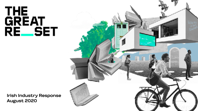## THE<br>GREAT **REESET**

**Irish Industry Response August 2020**

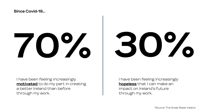### **Since Covid-19…**

# **70% 30%**

I have been feeling increasingly **motivated** to do my part in creating a better Ireland than before through my work.

I have been feeling increasingly **hopeless** that I can make an impact on Ireland's future through my work.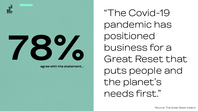

**agree with the statement…**

"The Covid-19 pandemic has positioned business for a Great Reset that puts people and the planet's needs first."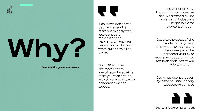

## **Why?**

**Please cite your reasons…**

r r

 Lockdown has shown us that we can live more sustainably with less transport, movement and travelling. We have no reason not to do this in the future to help the planet.

Covid 19 and the environment are inextricably linked--the more you feck around with the planet the more pandemics we can expect.

The planet is dying. Lockdown has proven we can live differently. The advertising industry is responsible for overconsumption.

Despite the upset of the pandemic, in general society appeared to enjoy the slower pace, the increased visibility of nature and opportunity to focus on their local town/ village economy

Covid has opened up our eyes to the unnecessary excesses in our lives



\*Source: The Great Reset Ireland